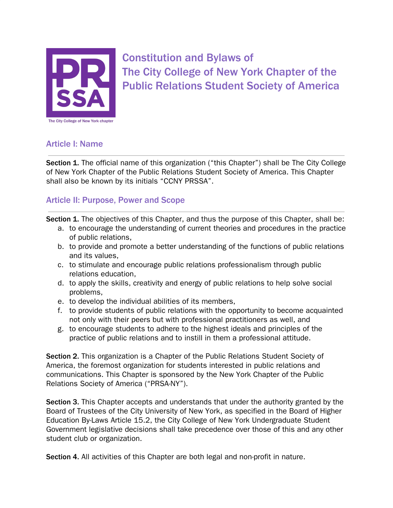

Constitution and Bylaws of The City College of New York Chapter of the Public Relations Student Society of America

#### Article I: Name

Section 1. The official name of this organization ("this Chapter") shall be The City College of New York Chapter of the Public Relations Student Society of America. This Chapter shall also be known by its initials "CCNY PRSSA".

# Article II: Purpose, Power and Scope

Section 1. The objectives of this Chapter, and thus the purpose of this Chapter, shall be:

- a. to encourage the understanding of current theories and procedures in the practice of public relations,
- b. to provide and promote a better understanding of the functions of public relations and its values,
- c. to stimulate and encourage public relations professionalism through public relations education,
- d. to apply the skills, creativity and energy of public relations to help solve social problems,
- e. to develop the individual abilities of its members,
- f. to provide students of public relations with the opportunity to become acquainted not only with their peers but with professional practitioners as well, and
- g. to encourage students to adhere to the highest ideals and principles of the practice of public relations and to instill in them a professional attitude.

Section 2. This organization is a Chapter of the Public Relations Student Society of America, the foremost organization for students interested in public relations and communications. This Chapter is sponsored by the New York Chapter of the Public Relations Society of America ("PRSA-NY").

Section 3. This Chapter accepts and understands that under the authority granted by the Board of Trustees of the City University of New York, as specified in the Board of Higher Education By-Laws Article 15.2, the City College of New York Undergraduate Student Government legislative decisions shall take precedence over those of this and any other student club or organization.

Section 4. All activities of this Chapter are both legal and non-profit in nature.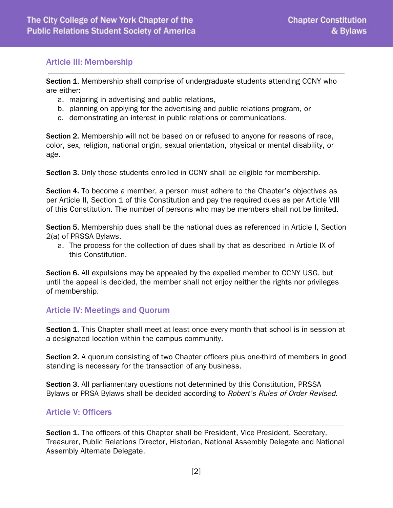#### Article III: Membership

Section 1. Membership shall comprise of undergraduate students attending CCNY who are either:

- a. majoring in advertising and public relations,
- b. planning on applying for the advertising and public relations program, or
- c. demonstrating an interest in public relations or communications.

Section 2. Membership will not be based on or refused to anyone for reasons of race, color, sex, religion, national origin, sexual orientation, physical or mental disability, or age.

Section 3. Only those students enrolled in CCNY shall be eligible for membership.

Section 4. To become a member, a person must adhere to the Chapter's objectives as per Article II, Section 1 of this Constitution and pay the required dues as per Article VIII of this Constitution. The number of persons who may be members shall not be limited.

Section 5. Membership dues shall be the national dues as referenced in Article I, Section 2(a) of PRSSA Bylaws.

a. The process for the collection of dues shall by that as described in Article IX of this Constitution.

Section 6. All expulsions may be appealed by the expelled member to CCNY USG, but until the appeal is decided, the member shall not enjoy neither the rights nor privileges of membership.

#### Article IV: Meetings and Quorum

Section 1. This Chapter shall meet at least once every month that school is in session at a designated location within the campus community.

Section 2. A quorum consisting of two Chapter officers plus one-third of members in good standing is necessary for the transaction of any business.

Section 3. All parliamentary questions not determined by this Constitution, PRSSA Bylaws or PRSA Bylaws shall be decided according to *Robert's Rules of Order Revised*.

#### Article V: Officers

Section 1. The officers of this Chapter shall be President, Vice President, Secretary, Treasurer, Public Relations Director, Historian, National Assembly Delegate and National Assembly Alternate Delegate.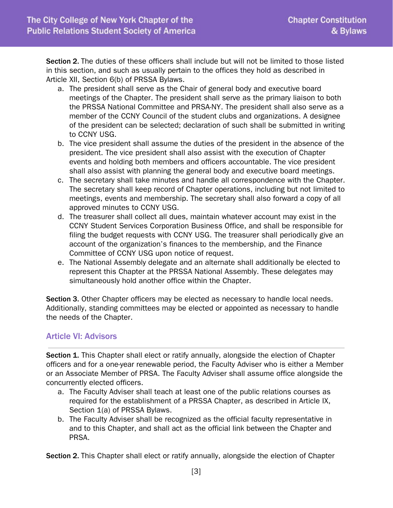Section 2. The duties of these officers shall include but will not be limited to those listed in this section, and such as usually pertain to the offices they hold as described in Article XII, Section 6(b) of PRSSA Bylaws.

- a. The president shall serve as the Chair of general body and executive board meetings of the Chapter. The president shall serve as the primary liaison to both the PRSSA National Committee and PRSA-NY. The president shall also serve as a member of the CCNY Council of the student clubs and organizations. A designee of the president can be selected; declaration of such shall be submitted in writing to CCNY USG.
- b. The vice president shall assume the duties of the president in the absence of the president. The vice president shall also assist with the execution of Chapter events and holding both members and officers accountable. The vice president shall also assist with planning the general body and executive board meetings.
- c. The secretary shall take minutes and handle all correspondence with the Chapter. The secretary shall keep record of Chapter operations, including but not limited to meetings, events and membership. The secretary shall also forward a copy of all approved minutes to CCNY USG.
- d. The treasurer shall collect all dues, maintain whatever account may exist in the CCNY Student Services Corporation Business Office, and shall be responsible for filing the budget requests with CCNY USG. The treasurer shall periodically give an account of the organization's finances to the membership, and the Finance Committee of CCNY USG upon notice of request.
- e. The National Assembly delegate and an alternate shall additionally be elected to represent this Chapter at the PRSSA National Assembly. These delegates may simultaneously hold another office within the Chapter.

Section 3. Other Chapter officers may be elected as necessary to handle local needs. Additionally, standing committees may be elected or appointed as necessary to handle the needs of the Chapter.

# Article VI: Advisors

Section 1. This Chapter shall elect or ratify annually, alongside the election of Chapter officers and for a one-year renewable period, the Faculty Adviser who is either a Member or an Associate Member of PRSA. The Faculty Adviser shall assume office alongside the concurrently elected officers.

- a. The Faculty Adviser shall teach at least one of the public relations courses as required for the establishment of a PRSSA Chapter, as described in Article IX, Section 1(a) of PRSSA Bylaws.
- b. The Faculty Adviser shall be recognized as the official faculty representative in and to this Chapter, and shall act as the official link between the Chapter and PRSA.

Section 2. This Chapter shall elect or ratify annually, alongside the election of Chapter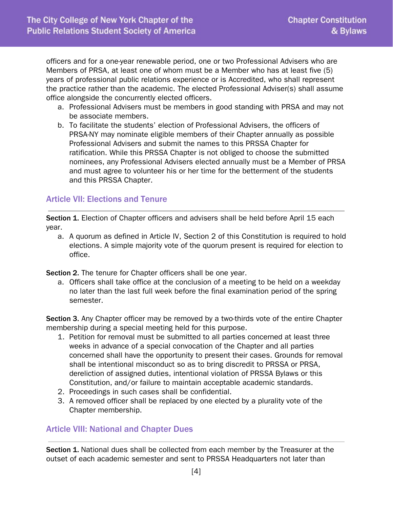officers and for a one-year renewable period, one or two Professional Advisers who are Members of PRSA, at least one of whom must be a Member who has at least five (5) years of professional public relations experience or is Accredited, who shall represent the practice rather than the academic. The elected Professional Adviser(s) shall assume office alongside the concurrently elected officers.

- a. Professional Advisers must be members in good standing with PRSA and may not be associate members.
- b. To facilitate the students' election of Professional Advisers, the officers of PRSA-NY may nominate eligible members of their Chapter annually as possible Professional Advisers and submit the names to this PRSSA Chapter for ratification. While this PRSSA Chapter is not obliged to choose the submitted nominees, any Professional Advisers elected annually must be a Member of PRSA and must agree to volunteer his or her time for the betterment of the students and this PRSSA Chapter.

# Article VII: Elections and Tenure

Section 1. Election of Chapter officers and advisers shall be held before April 15 each year.

a. A quorum as defined in Article IV, Section 2 of this Constitution is required to hold elections. A simple majority vote of the quorum present is required for election to office.

Section 2. The tenure for Chapter officers shall be one year.

a. Officers shall take office at the conclusion of a meeting to be held on a weekday no later than the last full week before the final examination period of the spring semester.

Section 3. Any Chapter officer may be removed by a two-thirds vote of the entire Chapter membership during a special meeting held for this purpose.

- 1. Petition for removal must be submitted to all parties concerned at least three weeks in advance of a special convocation of the Chapter and all parties concerned shall have the opportunity to present their cases. Grounds for removal shall be intentional misconduct so as to bring discredit to PRSSA or PRSA, dereliction of assigned duties, intentional violation of PRSSA Bylaws or this Constitution, and/or failure to maintain acceptable academic standards.
- 2. Proceedings in such cases shall be confidential.
- 3. A removed officer shall be replaced by one elected by a plurality vote of the Chapter membership.

# Article VIII: National and Chapter Dues

Section 1. National dues shall be collected from each member by the Treasurer at the outset of each academic semester and sent to PRSSA Headquarters not later than